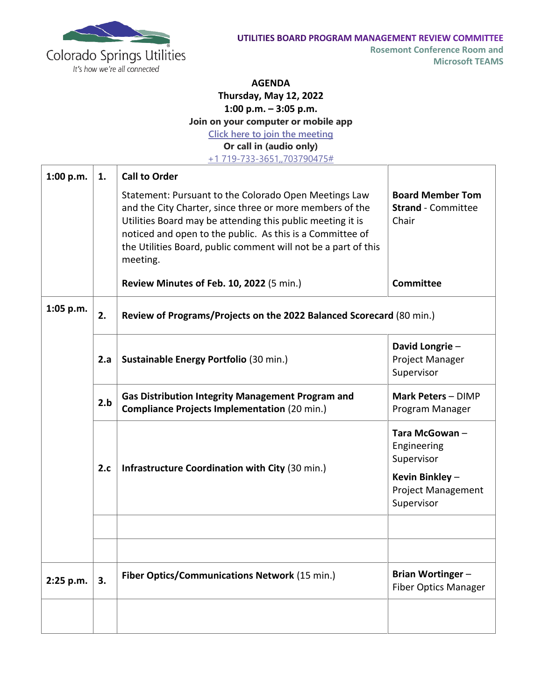

**Rosemont Conference Room and Microsoft TEAMS**

## **AGENDA**

**Thursday, May 12, 2022**

**1:00 p.m. – 3:05 p.m.**

**Join on your computer or mobile app**

**[Click here to join the meeting](https://nam11.safelinks.protection.outlook.com/ap/t-59584e83/?url=https%3A%2F%2Fteams.microsoft.com%2Fl%2Fmeetup-join%2F19%253ameeting_ZTIwZTQ0N2MtNjljZC00MDk4LWE3YjUtNWNkN2ViYmQxZTZh%2540thread.v2%2F0%3Fcontext%3D%257b%2522Tid%2522%253a%25224ab4a7ce-079f-4346-b2b7-815f0d471eec%2522%252c%2522Oid%2522%253a%2522534bc1b1-6c9d-4f5a-9466-d020ddf237ee%2522%257d&data=04%7C01%7Cbschoemer%40csu.org%7C44a872bd4bf64b95464008d9a3009f72%7C4ab4a7ce079f4346b2b7815f0d471eec%7C0%7C0%7C637720045342390235%7CUnknown%7CTWFpbGZsb3d8eyJWIjoiMC4wLjAwMDAiLCJQIjoiV2luMzIiLCJBTiI6Ik1haWwiLCJXVCI6Mn0%3D%7C1000&sdata=YNINek7Hrb2ylaU12UffzkqI2czgJv%2BQH1vsaKQhX1A%3D&reserved=0)**

**Or call in (audio only)**

[+1 719-733-3651,,703790475#](tel:+17197333651,,703790475# )

| 1:00 p.m. | 1.  | <b>Call to Order</b>                                                                                                                                                                                                                                                                                                       |                                                                                                         |  |
|-----------|-----|----------------------------------------------------------------------------------------------------------------------------------------------------------------------------------------------------------------------------------------------------------------------------------------------------------------------------|---------------------------------------------------------------------------------------------------------|--|
|           |     | Statement: Pursuant to the Colorado Open Meetings Law<br>and the City Charter, since three or more members of the<br>Utilities Board may be attending this public meeting it is<br>noticed and open to the public. As this is a Committee of<br>the Utilities Board, public comment will not be a part of this<br>meeting. | <b>Board Member Tom</b><br><b>Strand</b> - Committee<br>Chair                                           |  |
|           |     | Review Minutes of Feb. 10, 2022 (5 min.)                                                                                                                                                                                                                                                                                   | <b>Committee</b>                                                                                        |  |
| 1:05 p.m. | 2.  | Review of Programs/Projects on the 2022 Balanced Scorecard (80 min.)                                                                                                                                                                                                                                                       |                                                                                                         |  |
|           | 2.a | Sustainable Energy Portfolio (30 min.)                                                                                                                                                                                                                                                                                     | David Longrie-<br>Project Manager<br>Supervisor                                                         |  |
|           | 2.b | <b>Gas Distribution Integrity Management Program and</b><br><b>Compliance Projects Implementation (20 min.)</b>                                                                                                                                                                                                            | Mark Peters - DIMP<br>Program Manager                                                                   |  |
|           | 2.c | <b>Infrastructure Coordination with City (30 min.)</b>                                                                                                                                                                                                                                                                     | Tara McGowan-<br>Engineering<br>Supervisor<br>Kevin Binkley-<br><b>Project Management</b><br>Supervisor |  |
|           |     |                                                                                                                                                                                                                                                                                                                            |                                                                                                         |  |
| 2:25 p.m. | 3.  | Fiber Optics/Communications Network (15 min.)                                                                                                                                                                                                                                                                              | <b>Brian Wortinger -</b><br><b>Fiber Optics Manager</b>                                                 |  |
|           |     |                                                                                                                                                                                                                                                                                                                            |                                                                                                         |  |